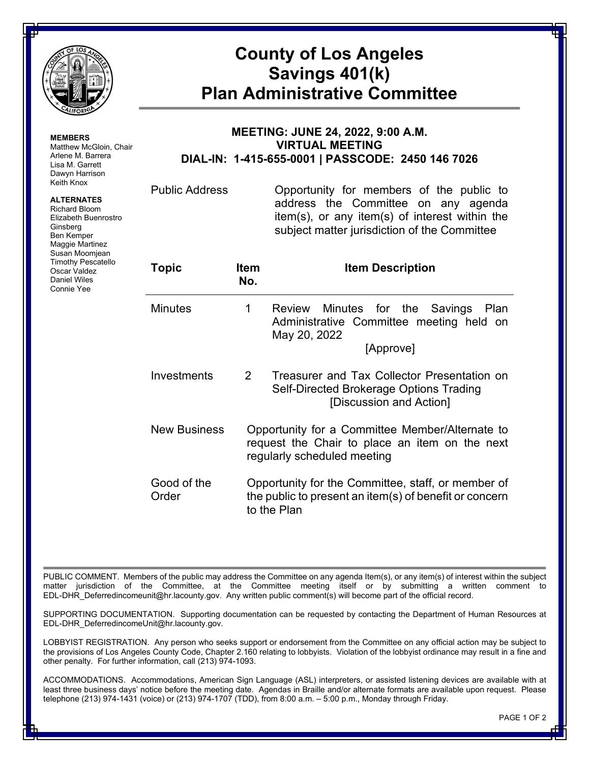

**MEMBERS**

Ginsberg Ben Kemper Maggie Martinez Susan Moomjean Timothy Pescatello Oscar Valdez Daniel Wiles Connie Yee

Matthew McGloin, Chair Arlene M. Barrera Lisa M. Garrett Dawyn Harrison Keith Knox **ALTERNATES** Richard Bloom Elizabeth Buenrostro

## **County of Los Angeles Savings 401(k) Plan Administrative Committee**

## **MEETING: JUNE 24, 2022, 9:00 A.M. VIRTUAL MEETING DIAL-IN: 1-415-655-0001 | PASSCODE: 2450 146 7026**

Public Address Opportunity for members of the public to address the Committee on any agenda item(s), or any item(s) of interest within the subject matter jurisdiction of the Committee

| <b>Topic</b>         | ltem<br>No.   | <b>Item Description</b>                                                                                                          |  |
|----------------------|---------------|----------------------------------------------------------------------------------------------------------------------------------|--|
| Minutes              | 1             | Review Minutes for the Savings Plan<br>Administrative Committee meeting held on<br>May 20, 2022<br>[Approve]                     |  |
| Investments          | $\mathcal{P}$ | Treasurer and Tax Collector Presentation on<br>Self-Directed Brokerage Options Trading<br>[Discussion and Action]                |  |
| <b>New Business</b>  |               | Opportunity for a Committee Member/Alternate to<br>request the Chair to place an item on the next<br>regularly scheduled meeting |  |
| Good of the<br>Order |               | Opportunity for the Committee, staff, or member of<br>the public to present an item(s) of benefit or concern<br>to the Plan      |  |

PUBLIC COMMENT. Members of the public may address the Committee on any agenda Item(s), or any item(s) of interest within the subject matter jurisdiction of the Committee, at the Committee meeting itself or by submitting a written comment to EDL-DHR\_Deferredincomeunit@hr.lacounty.gov. Any written public comment(s) will become part of the official record.

SUPPORTING DOCUMENTATION. Supporting documentation can be requested by contacting the Department of Human Resources at EDL-DHR\_DeferredincomeUnit@hr.lacounty.gov.

LOBBYIST REGISTRATION. Any person who seeks support or endorsement from the Committee on any official action may be subject to the provisions of Los Angeles County Code, Chapter 2.160 relating to lobbyists. Violation of the lobbyist ordinance may result in a fine and other penalty. For further information, call (213) 974-1093.

ACCOMMODATIONS. Accommodations, American Sign Language (ASL) interpreters, or assisted listening devices are available with at least three business days' notice before the meeting date. Agendas in Braille and/or alternate formats are available upon request. Please telephone (213) 974-1431 (voice) or (213) 974-1707 (TDD), from 8:00 a.m. – 5:00 p.m., Monday through Friday.